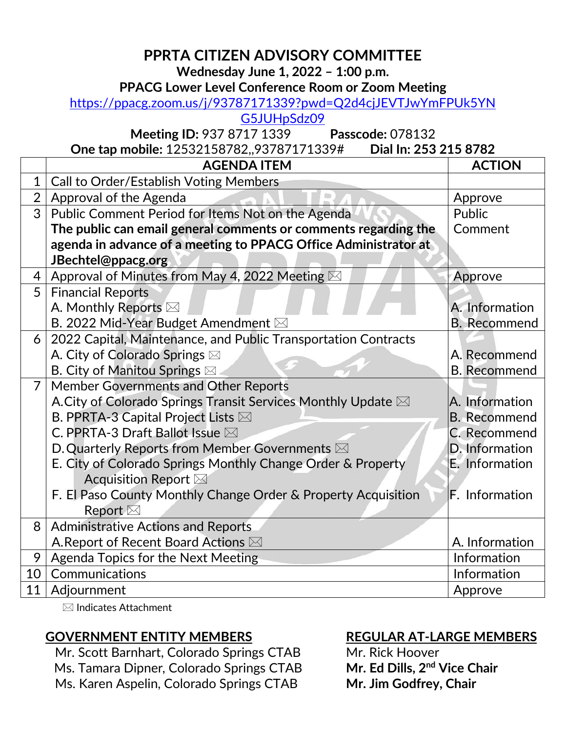# **PPRTA CITIZEN ADVISORY COMMITTEE**

**Wednesday June 1, 2022 – 1:00 p.m.**

#### **PPACG Lower Level Conference Room or Zoom Meeting**

# [https://ppacg.zoom.us/j/93787171339?pwd=Q2d4cjJEVTJwYmFPUk5YN](https://ppacg.zoom.us/j/93787171339?pwd=Q2d4cjJEVTJwYmFPUk5YNG5JUHpSdz09)

[G5JUHpSdz09](https://ppacg.zoom.us/j/93787171339?pwd=Q2d4cjJEVTJwYmFPUk5YNG5JUHpSdz09)

**Meeting ID:** 937 8717 1339 **Passcode:** 078132

**One tap mobile:** 12532158782,,93787171339# **Dial In: 253 215 8782** 

|                | <b>AGENDA ITEM</b>                                              | <b>ACTION</b>         |
|----------------|-----------------------------------------------------------------|-----------------------|
| $\mathbf{1}$   | <b>Call to Order/Establish Voting Members</b>                   |                       |
| $\overline{2}$ | Approval of the Agenda                                          | Approve               |
| 3              | Public Comment Period for Items Not on the Agenda               | Public                |
|                | The public can email general comments or comments regarding the | Comment               |
|                | agenda in advance of a meeting to PPACG Office Administrator at |                       |
|                | JBechtel@ppacg.org                                              |                       |
| 4              | Approval of Minutes from May 4, 2022 Meeting $\boxtimes$        | Approve               |
| 5              | <b>Financial Reports</b>                                        |                       |
|                | A. Monthly Reports ⊠                                            | A. Information        |
|                | B. 2022 Mid-Year Budget Amendment ⊠                             | <b>B.</b> Recommend   |
| 6              | 2022 Capital, Maintenance, and Public Transportation Contracts  |                       |
|                | A. City of Colorado Springs ⊠                                   | A. Recommend          |
|                | <b>B. City of Manitou Springs</b> ⊠                             | <b>B.</b> Recommend   |
| $\overline{7}$ | <b>Member Governments and Other Reports</b>                     |                       |
|                | A. City of Colorado Springs Transit Services Monthly Update ⊠   | A. Information        |
|                | B. PPRTA-3 Capital Project Lists $\boxtimes$                    | <b>B.</b> Recommend   |
|                | C. PPRTA-3 Draft Ballot Issue $\boxtimes$                       | C. Recommend          |
|                | D. Quarterly Reports from Member Governments $\boxtimes$        | D. Information        |
|                | E. City of Colorado Springs Monthly Change Order & Property     | E. Information        |
|                | Acquisition Report ⊠                                            |                       |
|                | F. El Paso County Monthly Change Order & Property Acquisition   | <b>F.</b> Information |
|                | Report $\boxtimes$                                              |                       |
| 8              | <b>Administrative Actions and Reports</b>                       |                       |
|                | A. Report of Recent Board Actions ⊠                             | A. Information        |
| 9              | Agenda Topics for the Next Meeting                              | Information           |
| 10             | Communications                                                  | Information           |
| 11             | Adjournment                                                     | Approve               |

 $\boxtimes$  Indicates Attachment

# **GOVERNMENT ENTITY MEMBERS**

Mr. Scott Barnhart, Colorado Springs CTAB Ms. Tamara Dipner*,* Colorado Springs CTAB Ms. Karen Aspelin, Colorado Springs CTAB

# **REGULAR AT-LARGE MEMBERS**

Mr. Rick Hoover **Mr. Ed Dills, 2nd Vice Chair Mr. Jim Godfrey, Chair**